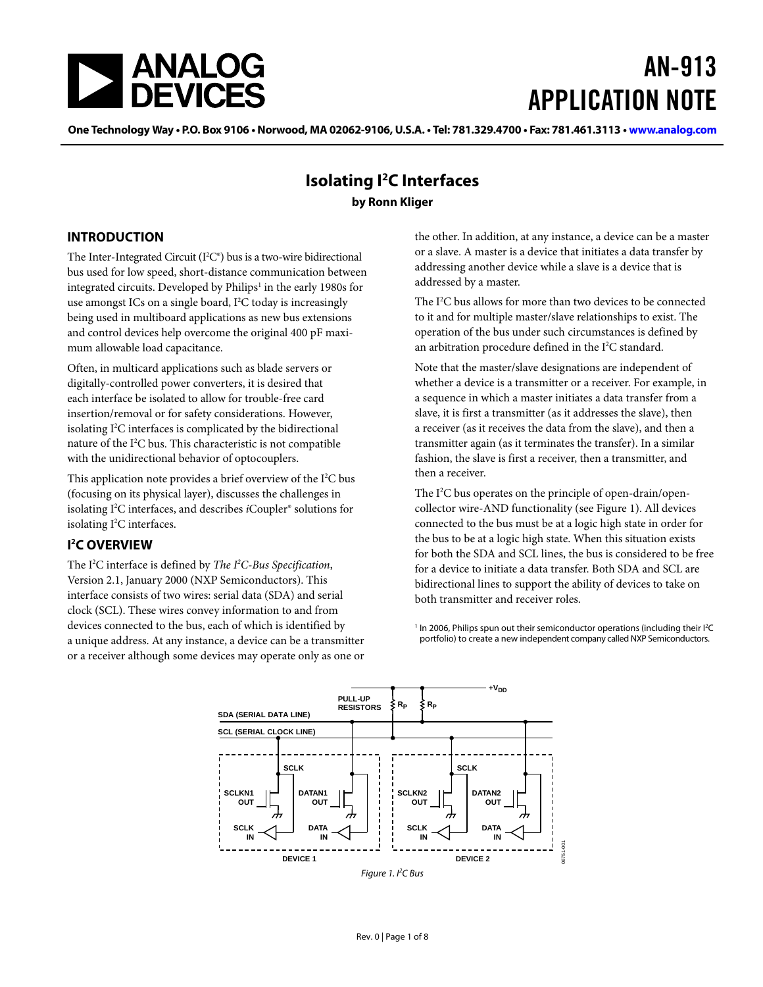<span id="page-0-1"></span>

# AN-913 APPLICATION NOTE

One Technology Way • P.O. Box 9106 • Norwood, MA 02062-9106, U.S.A. • Tel: 781.329.4700 • Fax: 781.461.3113 • www.analog.com

#### **Isolating I2 C Interfaces by Ronn Kliger**

#### **INTRODUCTION**

The Inter-Integrated Circuit  $(I^2C^*)$  bus is a two-wire bidirectional bus used for low speed, short-distance communication between integrated circuits. Developed by Philips<sup>1</sup> in the early 1980s for use amongst ICs on a single board, I<sup>2</sup>C today is increasingly being used in multiboard applications as new bus extensions and control devices help overcome the original 400 pF maximum allowable load capacitance.

Often, in multicard applications such as blade servers or digitally-controlled power converters, it is desired that each interface be isolated to allow for trouble-free card insertion/removal or for safety considerations. However, isolating I<sup>2</sup>C interfaces is complicated by the bidirectional nature of the I<sup>2</sup>C bus. This characteristic is not compatible with the unidirectional behavior of optocouplers.

This application note provides a brief overview of the I<sup>2</sup>C bus (focusing on its physical layer), discusses the challenges in isolating I2 C interfaces, and describes *i*Coupler® solutions for isolating I<sup>2</sup>C interfaces.

#### **I 2 C OVERVIEW**

The I2 C interface is defined by *The I2 C-Bus Specification*, Version 2.1, January 2000 (NXP Semiconductors). This interface consists of two wires: serial data (SDA) and serial clock (SCL). These wires convey information to and from devices connected to the bus, each of which is identified by a unique address. At any instance, a device can be a transmitter or a receiver although some devices may operate only as one or the other. In addition, at any instance, a device can be a master or a slave. A master is a device that initiates a data transfer by addressing another device while a slave is a device that is addressed by a master.

The I<sup>2</sup>C bus allows for more than two devices to be connected to it and for multiple master/slave relationships to exist. The operation of the bus under such circumstances is defined by an arbitration procedure defined in the I<sup>2</sup>C standard.

Note that the master/slave designations are independent of whether a device is a transmitter or a receiver. For example, in a sequence in which a master initiates a data transfer from a slave, it is first a transmitter (as it addresses the slave), then a receiver (as it receives the data from the slave), and then a transmitter again (as it terminates the transfer). In a similar fashion, the slave is first a receiver, then a transmitter, and then a receiver.

The I<sup>2</sup>C bus operates on the principle of open-drain/opencollector wire-AND functionality (see [Figure 1\)](#page-0-0). All devices connected to the bus must be at a logic high state in order for the bus to be at a logic high state. When this situation exists for both the SDA and SCL lines, the bus is considered to be free for a device to initiate a data transfer. Both SDA and SCL are bidirectional lines to support the ability of devices to take on both transmitter and receiver roles.

<sup>1</sup> In 2006, Philips spun out their semiconductor operations (including their I<sup>2</sup>C portfolio) to create a new independent company called NXP Semiconductors.

<span id="page-0-0"></span>

Figure 1. PC Bus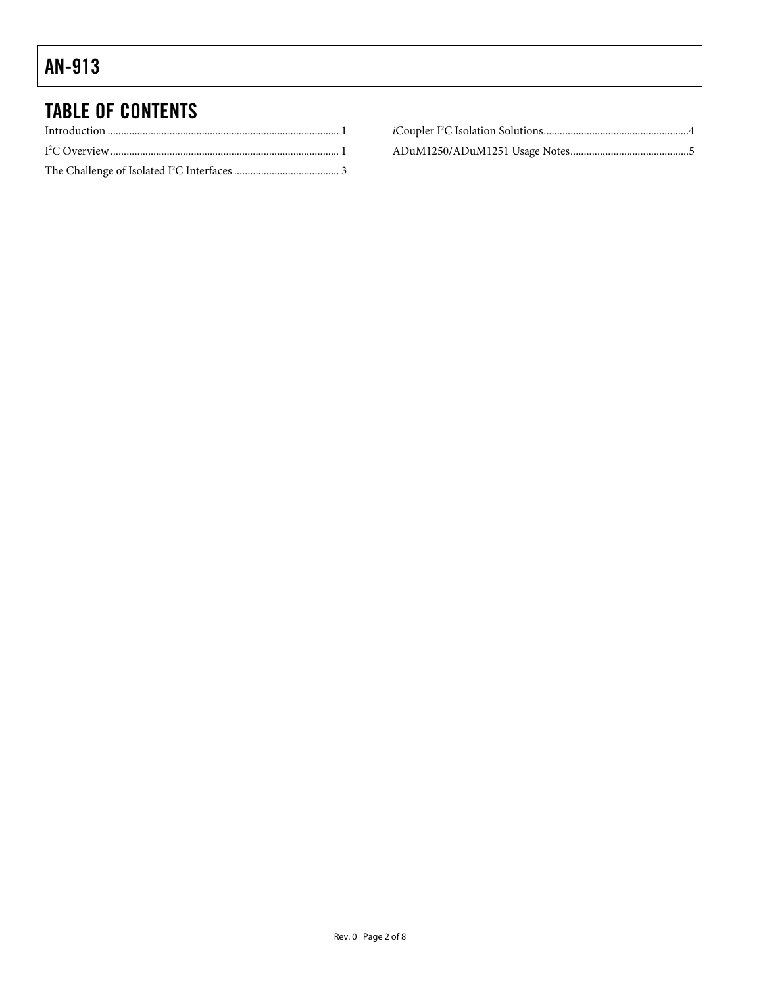# TABLE OF CONTENTS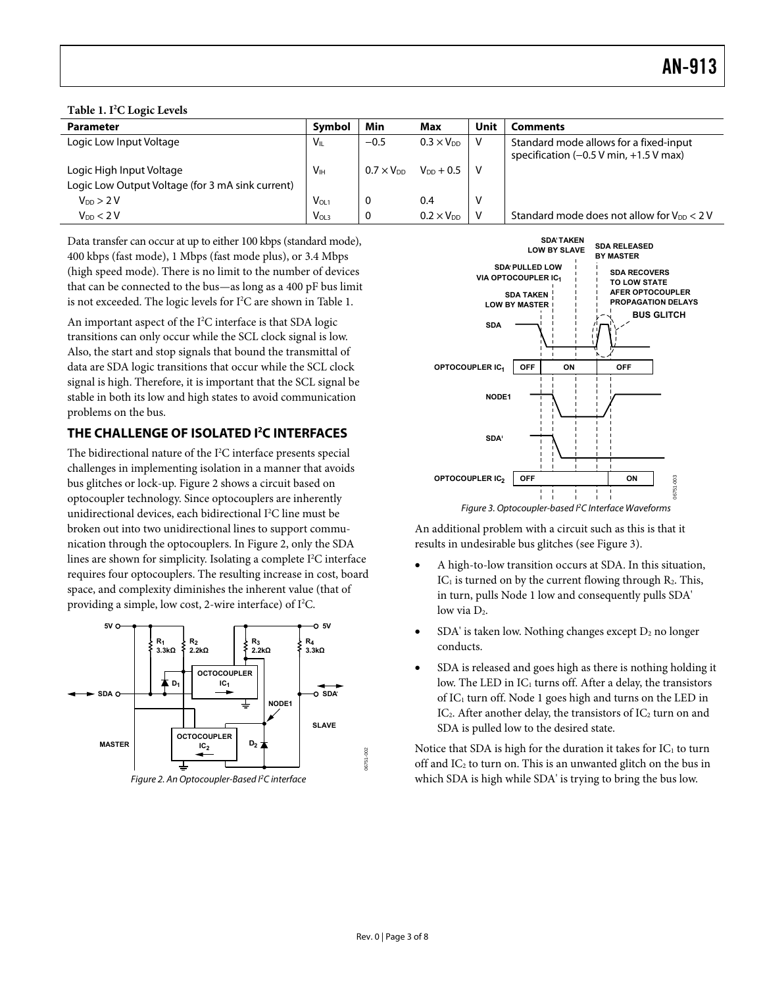<span id="page-2-0"></span>**Table 1. I2 C Logic Levels** 

| <b>Parameter</b>                                 | Symbol                | Min                 | Max                 | Unit | <b>Comments</b>                                                                    |
|--------------------------------------------------|-----------------------|---------------------|---------------------|------|------------------------------------------------------------------------------------|
| Logic Low Input Voltage                          | $V_{\parallel}$       | $-0.5$              | $0.3 \times V_{DD}$ |      | Standard mode allows for a fixed-input<br>specification $(-0.5 V min, +1.5 V max)$ |
| Logic High Input Voltage                         | <b>V<sub>IH</sub></b> | $0.7 \times V_{DD}$ | $V_{DD} + 0.5$      |      |                                                                                    |
| Logic Low Output Voltage (for 3 mA sink current) |                       |                     |                     |      |                                                                                    |
| $V_{DD}$ > 2 V                                   | V <sub>OL1</sub>      | 0                   | 0.4                 | ٧    |                                                                                    |
| $V_{DD}$ < 2 V                                   | V <sub>OL3</sub>      | 0                   | $0.2 \times V_{DD}$ |      | Standard mode does not allow for $V_{DD} < 2 V$                                    |

Data transfer can occur at up to either 100 kbps (standard mode), 400 kbps (fast mode), 1 Mbps (fast mode plus), or 3.4 Mbps (high speed mode). There is no limit to the number of devices that can be connected to the bus—as long as a 400 pF bus limit is not exceeded. The logic levels for I<sup>2</sup>C are shown in Table 1.

An important aspect of the I<sup>2</sup>C interface is that SDA logic transitions can only occur while the SCL clock signal is low. Also, the start and stop signals that bound the transmittal of data are SDA logic transitions that occur while the SCL clock signal is high. Therefore, it is important that the SCL signal be stable in both its low and high states to avoid communication problems on the bus.

#### **THE CHALLENGE OF ISOLATED I2 C INTERFACES**

<span id="page-2-2"></span>The bidirectional nature of the I<sup>2</sup>C interface presents special challenges in implementing isolation in a manner that avoids bus glitches or lock-up. [Figure 2](#page-2-1) shows a circuit based on optocoupler technology. Since optocouplers are inherently unidirectional devices, each bidirectional I<sup>2</sup>C line must be broken out into two unidirectional lines to support communication through the optocouplers. In [Figure 2,](#page-2-1) only the SDA lines are shown for simplicity. Isolating a complete I<sup>2</sup>C interface requires four optocouplers. The resulting increase in cost, board space, and complexity diminishes the inherent value (that of providing a simple, low cost, 2-wire interface) of  $I^2C$ .

<span id="page-2-1"></span>



Figure 3. Optocoupler-based <sup>P</sup>C Interface Waveforms

An additional problem with a circuit such as this is that it results in undesirable bus glitches (see [Figure 3](#page-2-2)).

- A high-to-low transition occurs at SDA. In this situation,  $IC<sub>1</sub>$  is turned on by the current flowing through  $R<sub>2</sub>$ . This, in turn, pulls Node 1 low and consequently pulls SDA' low via  $D_2$ .
- $SDA'$  is taken low. Nothing changes except  $D_2$  no longer conducts.
- SDA is released and goes high as there is nothing holding it low. The LED in  $IC_1$  turns off. After a delay, the transistors of IC<sub>1</sub> turn off. Node 1 goes high and turns on the LED in IC<sub>2</sub>. After another delay, the transistors of IC<sub>2</sub> turn on and SDA is pulled low to the desired state.

Notice that SDA is high for the duration it takes for  $IC_1$  to turn off and  $IC_2$  to turn on. This is an unwanted glitch on the bus in which SDA is high while SDA' is trying to bring the bus low.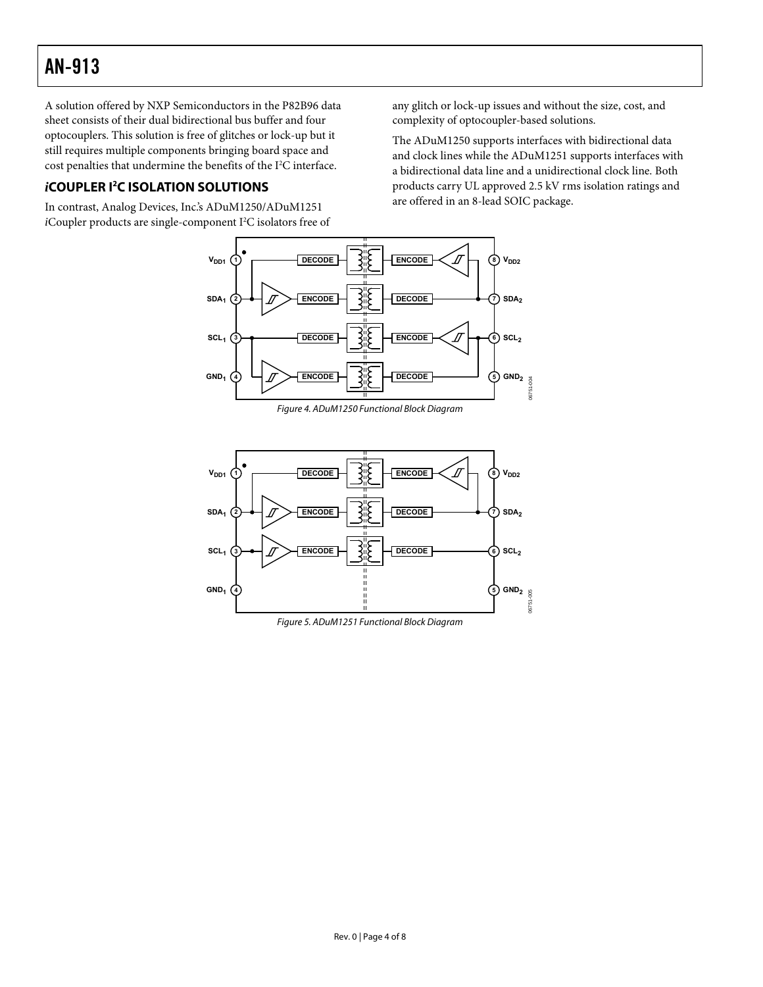<span id="page-3-0"></span>A solution offered by NXP Semiconductors in the P82B96 data sheet consists of their dual bidirectional bus buffer and four optocouplers. This solution is free of glitches or lock-up but it still requires multiple components bringing board space and cost penalties that undermine the benefits of the I<sup>2</sup>C interface.

#### *i***COUPLER I2 C ISOLATION SOLUTIONS**

In contrast, Analog Devices, Inc.'s ADuM1250/ADuM1251 iCoupler products are single-component I<sup>2</sup>C isolators free of any glitch or lock-up issues and without the size, cost, and complexity of optocoupler-based solutions.

The ADuM1250 supports interfaces with bidirectional data and clock lines while the ADuM1251 supports interfaces with a bidirectional data line and a unidirectional clock line. Both products carry UL approved 2.5 kV rms isolation ratings and are offered in an 8-lead SOIC package.





Figure 5. ADuM1251 Functional Block Diagram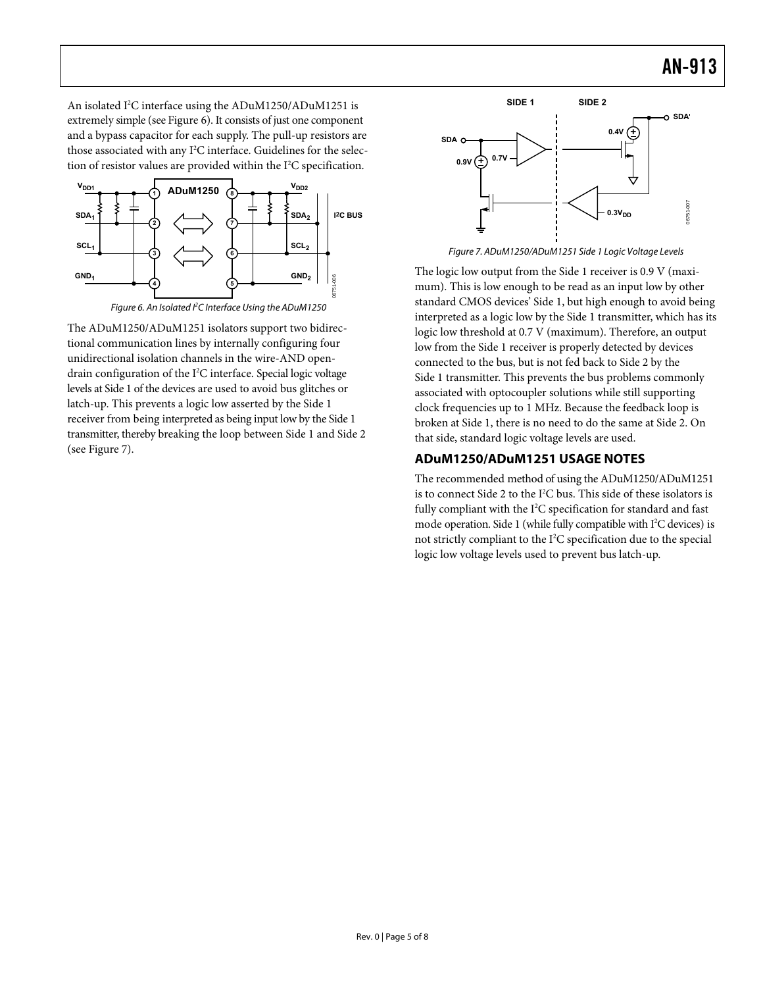<span id="page-4-0"></span>An isolated I<sup>2</sup>C interface using the ADuM1250/ADuM1251 is extremely simple (see [Figure 6\)](#page-4-1). It consists of just one component and a bypass capacitor for each supply. The pull-up resistors are those associated with any I<sup>2</sup>C interface. Guidelines for the selection of resistor values are provided within the I<sup>2</sup>C specification.



<span id="page-4-2"></span><span id="page-4-1"></span>The ADuM1250/ADuM1251 isolators support two bidirectional communication lines by internally configuring four unidirectional isolation channels in the wire-AND opendrain configuration of the I2 C interface. Special logic voltage levels at Side 1 of the devices are used to avoid bus glitches or latch-up. This prevents a logic low asserted by the Side 1 receiver from being interpreted as being input low by the Side 1 transmitter, thereby breaking the loop between Side 1 and Side 2 (see [Figure 7](#page-4-2)).



Figure 7. ADuM1250/ADuM1251 Side 1 Logic Voltage Levels

The logic low output from the Side 1 receiver is 0.9 V (maximum). This is low enough to be read as an input low by other standard CMOS devices' Side 1, but high enough to avoid being interpreted as a logic low by the Side 1 transmitter, which has its logic low threshold at 0.7 V (maximum). Therefore, an output low from the Side 1 receiver is properly detected by devices connected to the bus, but is not fed back to Side 2 by the Side 1 transmitter. This prevents the bus problems commonly associated with optocoupler solutions while still supporting clock frequencies up to 1 MHz. Because the feedback loop is broken at Side 1, there is no need to do the same at Side 2. On that side, standard logic voltage levels are used.

#### **ADuM1250/ADuM1251 USAGE NOTES**

The recommended method of using the ADuM1250/ADuM1251 is to connect Side 2 to the I2 C bus. This side of these isolators is fully compliant with the  $I^2C$  specification for standard and fast mode operation. Side 1 (while fully compatible with I<sup>2</sup>C devices) is not strictly compliant to the I2 C specification due to the special logic low voltage levels used to prevent bus latch-up.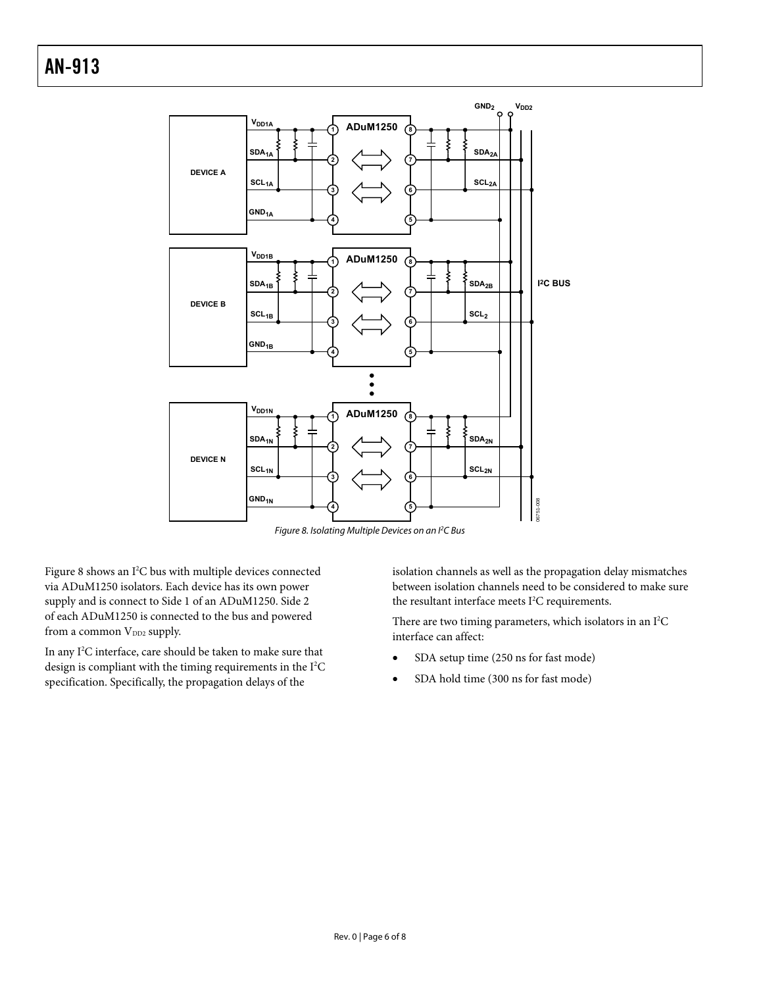

Figure 8. Isolating Multiple Devices on an I<sup>2</sup>C Bus

<span id="page-5-0"></span>[Figure 8](#page-5-0) shows an I<sup>2</sup>C bus with multiple devices connected via ADuM1250 isolators. Each device has its own power supply and is connect to Side 1 of an ADuM1250. Side 2 of each ADuM1250 is connected to the bus and powered from a common V<sub>DD2</sub> supply.

In any I<sup>2</sup>C interface, care should be taken to make sure that design is compliant with the timing requirements in the  $I<sup>2</sup>C$ specification. Specifically, the propagation delays of the

isolation channels as well as the propagation delay mismatches between isolation channels need to be considered to make sure the resultant interface meets  $I<sup>2</sup>C$  requirements.

There are two timing parameters, which isolators in an  $I^2C$ interface can affect:

- SDA setup time (250 ns for fast mode)
- SDA hold time (300 ns for fast mode)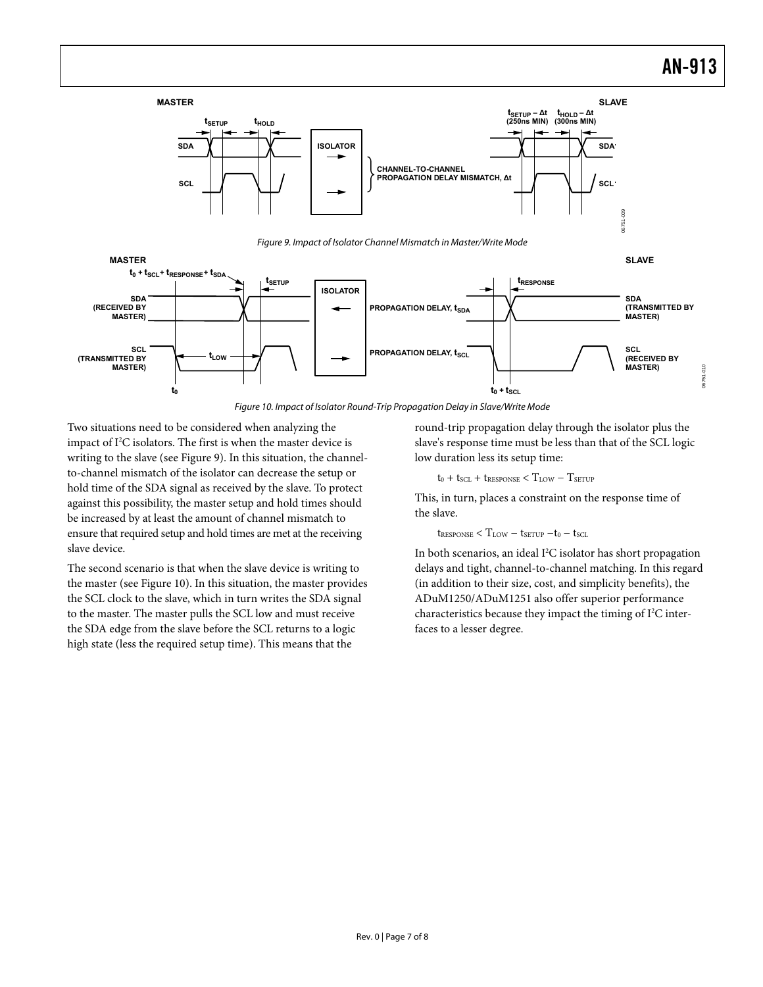<span id="page-6-0"></span>

Figure 10. Impact of Isolator Round-Trip Propagation Delay in Slave/Write Mode

<span id="page-6-1"></span>Two situations need to be considered when analyzing the impact of I<sup>2</sup>C isolators. The first is when the master device is writing to the slave (see [Figure 9](#page-6-0)). In this situation, the channelto-channel mismatch of the isolator can decrease the setup or hold time of the SDA signal as received by the slave. To protect against this possibility, the master setup and hold times should be increased by at least the amount of channel mismatch to ensure that required setup and hold times are met at the receiving slave device.

The second scenario is that when the slave device is writing to the master (see [Figure 10\)](#page-6-1). In this situation, the master provides the SCL clock to the slave, which in turn writes the SDA signal to the master. The master pulls the SCL low and must receive the SDA edge from the slave before the SCL returns to a logic high state (less the required setup time). This means that the

round-trip propagation delay through the isolator plus the slave's response time must be less than that of the SCL logic low duration less its setup time:

 $t_0 + t_{SCL} + t_{RESPONSE} < T_{LOW} - T_{SETUP}$ 

This, in turn, places a constraint on the response time of the slave.

 $t_{RESPONSE} < T_{LOW} - t_{SETUP} - t_0 - t_{SCL}$ 

In both scenarios, an ideal I<sup>2</sup>C isolator has short propagation delays and tight, channel-to-channel matching. In this regard (in addition to their size, cost, and simplicity benefits), the ADuM1250/ADuM1251 also offer superior performance characteristics because they impact the timing of I<sup>2</sup>C interfaces to a lesser degree.